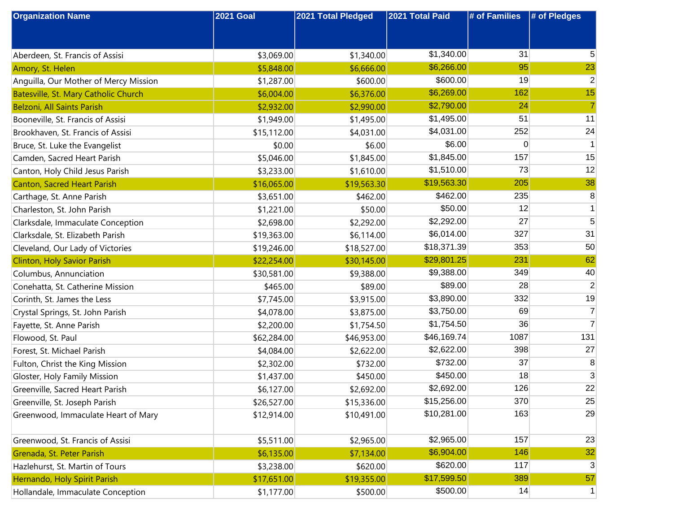| <b>Organization Name</b>              | <b>2021 Goal</b> | 2021 Total Pledged | 2021 Total Paid | # of Families | # of Pledges   |
|---------------------------------------|------------------|--------------------|-----------------|---------------|----------------|
|                                       |                  |                    |                 |               |                |
|                                       |                  |                    |                 |               |                |
| Aberdeen, St. Francis of Assisi       | \$3,069.00       | \$1,340.00         | \$1,340.00      | 31            | 5              |
| Amory, St. Helen                      | \$5,848.00       | \$6,666.00         | \$6,266.00      | 95            | 23             |
| Anguilla, Our Mother of Mercy Mission | \$1,287.00       | \$600.00           | \$600.00        | 19            | $\overline{c}$ |
| Batesville, St. Mary Catholic Church  | \$6,004.00       | \$6,376.00         | \$6,269.00      | 162           | 15             |
| Belzoni, All Saints Parish            | \$2,932.00       | \$2,990.00         | \$2,790.00      | 24            | $\overline{7}$ |
| Booneville, St. Francis of Assisi     | \$1,949.00       | \$1,495.00         | \$1,495.00      | 51            | 11             |
| Brookhaven, St. Francis of Assisi     | \$15,112.00      | \$4,031.00         | \$4,031.00      | 252           | 24             |
| Bruce, St. Luke the Evangelist        | \$0.00           | \$6.00             | \$6.00          | 0             | 1              |
| Camden, Sacred Heart Parish           | \$5,046.00       | \$1,845.00         | \$1,845.00      | 157           | 15             |
| Canton, Holy Child Jesus Parish       | \$3,233.00       | \$1,610.00         | \$1,510.00      | 73            | 12             |
| <b>Canton, Sacred Heart Parish</b>    | \$16,065.00      | \$19,563.30        | \$19,563.30     | 205           | 38             |
| Carthage, St. Anne Parish             | \$3,651.00       | \$462.00           | \$462.00        | 235           | 8              |
| Charleston, St. John Parish           | \$1,221.00       | \$50.00            | \$50.00         | 12            |                |
| Clarksdale, Immaculate Conception     | \$2,698.00       | \$2,292.00         | \$2,292.00      | 27            | 5              |
| Clarksdale, St. Elizabeth Parish      | \$19,363.00      | \$6,114.00         | \$6,014.00      | 327           | 31             |
| Cleveland, Our Lady of Victories      | \$19,246.00      | \$18,527.00        | \$18,371.39     | 353           | 50             |
| <b>Clinton, Holy Savior Parish</b>    | \$22,254.00      | \$30,145.00        | \$29,801.25     | 231           | 62             |
| Columbus, Annunciation                | \$30,581.00      | \$9,388.00         | \$9,388.00      | 349           | 40             |
| Conehatta, St. Catherine Mission      | \$465.00         | \$89.00            | \$89.00         | 28            | 2              |
| Corinth, St. James the Less           | \$7,745.00       | \$3,915.00         | \$3,890.00      | 332           | 19             |
| Crystal Springs, St. John Parish      | \$4,078.00       | \$3,875.00         | \$3,750.00      | 69            | 7              |
| Fayette, St. Anne Parish              | \$2,200.00       | \$1,754.50         | \$1,754.50      | 36            | $\overline{7}$ |
| Flowood, St. Paul                     | \$62,284.00      | \$46,953.00        | \$46,169.74     | 1087          | 131            |
| Forest, St. Michael Parish            | \$4,084.00       | \$2,622.00         | \$2,622.00      | 398           | 27             |
| Fulton, Christ the King Mission       | \$2,302.00       | \$732.00           | \$732.00        | 37            | 8              |
| Gloster, Holy Family Mission          | \$1,437.00       | \$450.00           | \$450.00        | 18            | 3              |
| Greenville, Sacred Heart Parish       | \$6,127.00       | \$2,692.00         | \$2,692.00      | 126           | 22             |
| Greenville, St. Joseph Parish         | \$26,527.00      | \$15,336.00        | \$15,256.00     | 370           | 25             |
| Greenwood, Immaculate Heart of Mary   | \$12,914.00      | \$10,491.00        | \$10,281.00     | 163           | 29             |
|                                       |                  |                    |                 |               |                |
| Greenwood, St. Francis of Assisi      | \$5,511.00       | \$2,965.00         | \$2,965.00      | 157           | 23             |
| Grenada, St. Peter Parish             | \$6,135.00       | \$7,134.00         | \$6,904.00      | 146           | 32             |
| Hazlehurst, St. Martin of Tours       | \$3,238.00       | \$620.00           | \$620.00        | 117           | 3              |
| Hernando, Holy Spirit Parish          | \$17,651.00      | \$19,355.00        | \$17,599.50     | 389           | 57             |
| Hollandale, Immaculate Conception     | \$1,177.00       | \$500.00           | \$500.00        | 14            | 1              |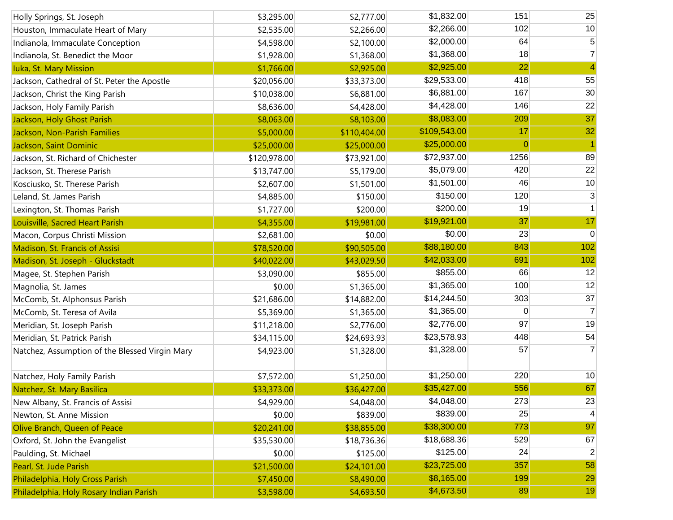| Holly Springs, St. Joseph                      | \$3,295.00   | \$2,777.00   | \$1,832.00   | 151            | 25             |
|------------------------------------------------|--------------|--------------|--------------|----------------|----------------|
| Houston, Immaculate Heart of Mary              | \$2,535.00   | \$2,266.00   | \$2,266.00   | 102            | 10             |
| Indianola, Immaculate Conception               | \$4,598.00   | \$2,100.00   | \$2,000.00   | 64             | 5              |
| Indianola, St. Benedict the Moor               | \$1,928.00   | \$1,368.00   | \$1,368.00   | 18             | $\overline{7}$ |
| Iuka, St. Mary Mission                         | \$1,766.00   | \$2,925.00   | \$2,925.00   | 22             | 4              |
| Jackson, Cathedral of St. Peter the Apostle    | \$20,056.00  | \$33,373.00  | \$29,533.00  | 418            | 55             |
| Jackson, Christ the King Parish                | \$10,038.00  | \$6,881.00   | \$6,881.00   | 167            | 30             |
| Jackson, Holy Family Parish                    | \$8,636.00   | \$4,428.00   | \$4,428.00   | 146            | 22             |
| Jackson, Holy Ghost Parish                     | \$8,063.00   | \$8,103.00   | \$8,083.00   | 209            | 37             |
| Jackson, Non-Parish Families                   | \$5,000.00   | \$110,404.00 | \$109,543.00 | 17             | 32             |
| Jackson, Saint Dominic                         | \$25,000.00  | \$25,000.00  | \$25,000.00  | $\overline{0}$ |                |
| Jackson, St. Richard of Chichester             | \$120,978.00 | \$73,921.00  | \$72,937.00  | 1256           | 89             |
| Jackson, St. Therese Parish                    | \$13,747.00  | \$5,179.00   | \$5,079.00   | 420            | 22             |
| Kosciusko, St. Therese Parish                  | \$2,607.00   | \$1,501.00   | \$1,501.00   | 46             | 10             |
| Leland, St. James Parish                       | \$4,885.00   | \$150.00     | \$150.00     | 120            | 3              |
| Lexington, St. Thomas Parish                   | \$1,727.00   | \$200.00     | \$200.00     | 19             |                |
| Louisville, Sacred Heart Parish                | \$4,355.00   | \$19,981.00  | \$19,921.00  | 37             | 17             |
| Macon, Corpus Christi Mission                  | \$2,681.00   | \$0.00       | \$0.00       | 23             | 0              |
| Madison, St. Francis of Assisi                 | \$78,520.00  | \$90,505.00  | \$88,180.00  | 843            | 102            |
| Madison, St. Joseph - Gluckstadt               | \$40,022.00  | \$43,029.50  | \$42,033.00  | 691            | 102            |
| Magee, St. Stephen Parish                      | \$3,090.00   | \$855.00     | \$855.00     | 66             | 12             |
| Magnolia, St. James                            | \$0.00       | \$1,365.00   | \$1,365.00   | 100            | 12             |
| McComb, St. Alphonsus Parish                   | \$21,686.00  | \$14,882.00  | \$14,244.50  | 303            | 37             |
| McComb, St. Teresa of Avila                    | \$5,369.00   | \$1,365.00   | \$1,365.00   | 0              | 7              |
| Meridian, St. Joseph Parish                    | \$11,218.00  | \$2,776.00   | \$2,776.00   | 97             | 19             |
| Meridian, St. Patrick Parish                   | \$34,115.00  | \$24,693.93  | \$23,578.93  | 448            | 54             |
| Natchez, Assumption of the Blessed Virgin Mary | \$4,923.00   | \$1,328.00   | \$1,328.00   | 57             | $\overline{7}$ |
| Natchez, Holy Family Parish                    | \$7,572.00   | \$1,250.00   | \$1,250.00   | 220            | 10             |
| Natchez, St. Mary Basilica                     | \$33,373.00  | \$36,427.00  | \$35,427.00  | 556            | 67             |
| New Albany, St. Francis of Assisi              | \$4,929.00   | \$4,048.00   | \$4,048.00   | 273            | 23             |
| Newton, St. Anne Mission                       | \$0.00       | \$839.00     | \$839.00     | 25             | 4              |
| Olive Branch, Queen of Peace                   | \$20,241.00  | \$38,855.00  | \$38,300.00  | 773            | 97             |
| Oxford, St. John the Evangelist                | \$35,530.00  | \$18,736.36  | \$18,688.36  | 529            | 67             |
| Paulding, St. Michael                          | \$0.00       | \$125.00     | \$125.00     | 24             | $\overline{2}$ |
| Pearl, St. Jude Parish                         | \$21,500.00  | \$24,101.00  | \$23,725.00  | 357            | 58             |
| Philadelphia, Holy Cross Parish                | \$7,450.00   | \$8,490.00   | \$8,165.00   | 199            | 29             |
| Philadelphia, Holy Rosary Indian Parish        | \$3,598.00   | \$4,693.50   | \$4,673.50   | 89             | 19             |